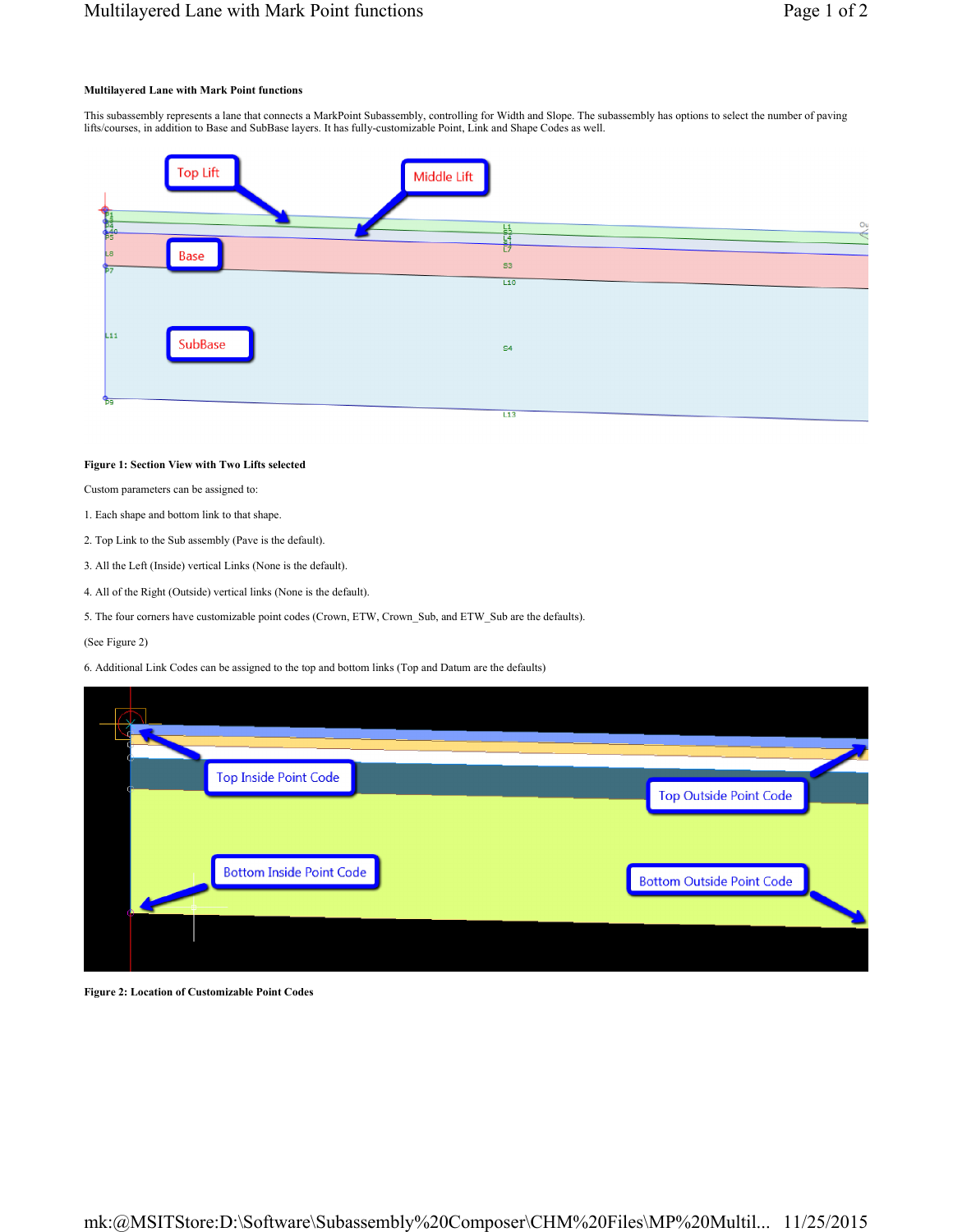## **Multilayered Lane with Mark Point functions**

This subassembly represents a lane that connects a MarkPoint Subassembly, controlling for Width and Slope. The subassembly has options to select the number of paving lifts/courses, in addition to Base and SubBase layers. It has fully-customizable Point, Link and Shape Codes as well.



## **Figure 1: Section View with Two Lifts selected**

Custom parameters can be assigned to:

- 1. Each shape and bottom link to that shape.
- 2. Top Link to the Sub assembly (Pave is the default).
- 3. All the Left (Inside) vertical Links (None is the default).
- 4. All of the Right (Outside) vertical links (None is the default).
- 5. The four corners have customizable point codes (Crown, ETW, Crown\_Sub, and ETW\_Sub are the defaults).

(See Figure 2)

6. Additional Link Codes can be assigned to the top and bottom links (Top and Datum are the defaults)

| <b>Top Inside Point Code</b>    | <b>Top Outside Point Code</b>    |
|---------------------------------|----------------------------------|
| <b>Bottom Inside Point Code</b> | <b>Bottom Outside Point Code</b> |
|                                 |                                  |

**Figure 2: Location of Customizable Point Codes**